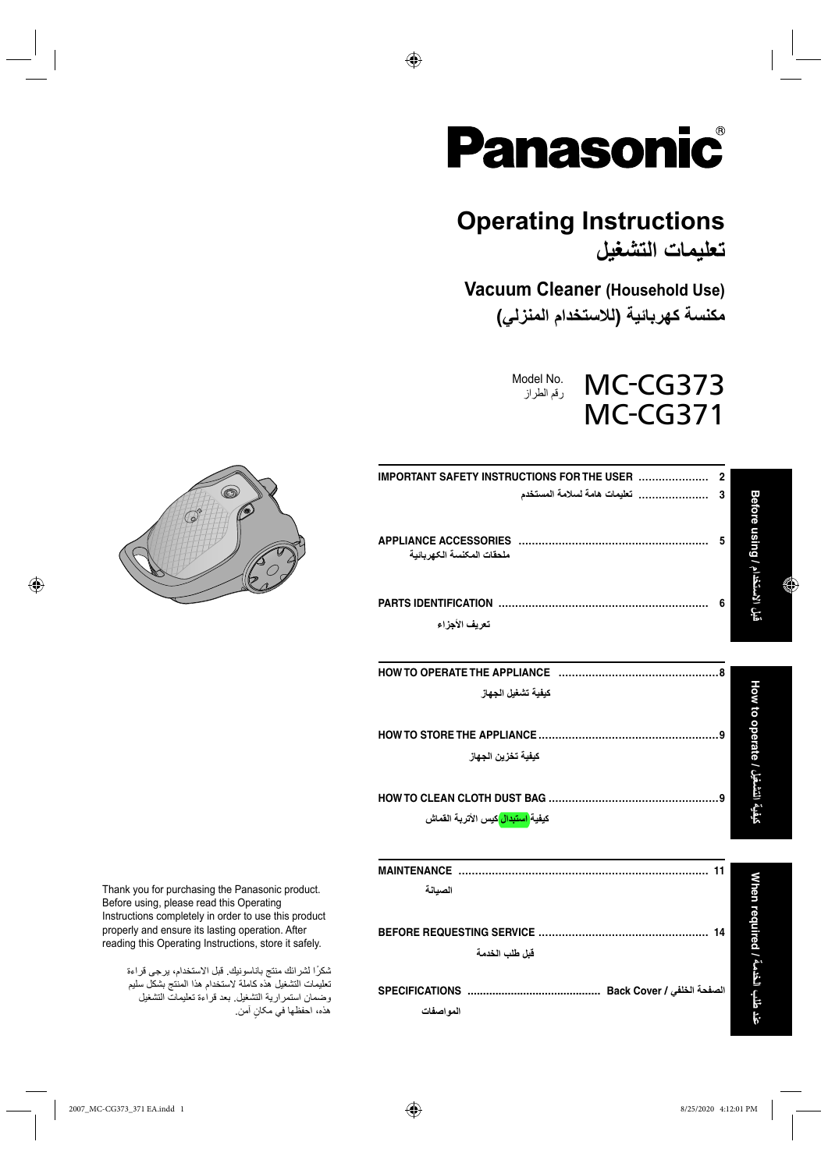

 $\bigoplus$ 

# **Operating Instructions**

**تعليمات التشغيل**

**Vacuum Cleaner (Household Use) مكنسة كهربائية (للاستخدام المنزلي)**

> Model No. MC-CG373 رقم الطراز MC-CG371

| ملحقات المكنسة الكهر بائية                    | 3<br>5 |                                     |  |
|-----------------------------------------------|--------|-------------------------------------|--|
|                                               |        |                                     |  |
|                                               |        | قَبِل الاستخدام / Maing ا           |  |
| تعريف الأجزاء                                 | 6      |                                     |  |
|                                               |        |                                     |  |
| كيفية تشغيل الجهاز                            |        | بِفِيةَ التشغيل / Superate / بالعاط |  |
|                                               |        |                                     |  |
| كبفية تخزين الجهاز                            |        |                                     |  |
|                                               |        |                                     |  |
| كيفية <mark>استبدال</mark> كيس الأتربة القماش |        |                                     |  |
|                                               |        |                                     |  |
| الصيانة                                       |        |                                     |  |
|                                               |        |                                     |  |
| قبل طلب الخدمة                                |        | خلب الخدمة / Then required العطالا  |  |
|                                               |        |                                     |  |



⊕

Thank you for purchasing the Panasonic product. Before using, please read this Operating Instructions completely in order to use this product properly and ensure its lasting operation. After reading this Operating Instructions, store it safely.

> ً شكرا لشرائك منتج باناسونيك. قبل الاستخدام، يرجى قراءة تعليمات التشغيل هذه کاملة لاستخدام هذا المنتج بشكل سليم وضمان استمرارية التشغيل. بعد قراءة تعليمات التشغيل هذه، احفظها في ٍ مکان آمن.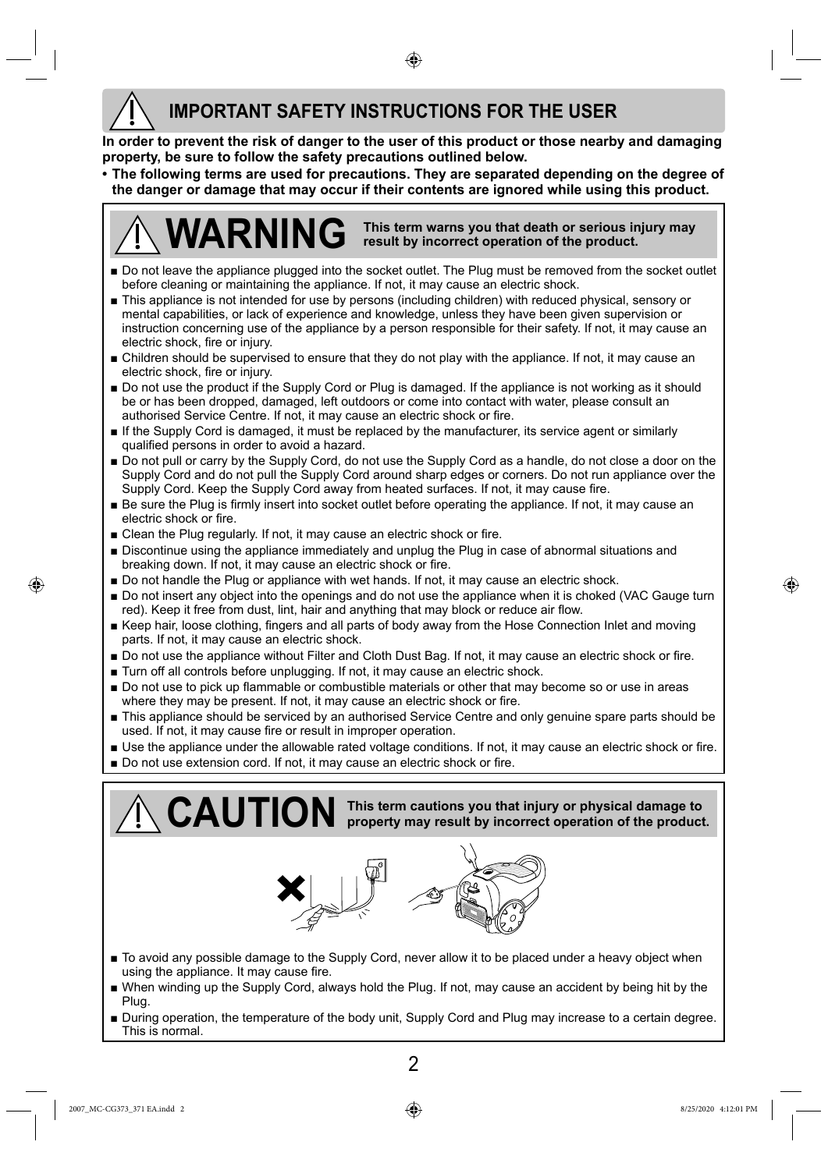### **IMPORTANT SAFETY INSTRUCTIONS FOR THE USER**

**In order to prevent the risk of danger to the user of this product or those nearby and damaging property, be sure to follow the safety precautions outlined below.**

♠

**• The following terms are used for precautions. They are separated depending on the degree of the danger or damage that may occur if their contents are ignored while using this product.**



- **■** Do not leave the appliance plugged into the socket outlet. The Plug must be removed from the socket outlet before cleaning or maintaining the appliance. If not, it may cause an electric shock.
- **■** This appliance is not intended for use by persons (including children) with reduced physical, sensory or mental capabilities, or lack of experience and knowledge, unless they have been given supervision or instruction concerning use of the appliance by a person responsible for their safety. If not, it may cause an electric shock, fire or injury.
- **■** Children should be supervised to ensure that they do not play with the appliance. If not, it may cause an electric shock, fire or injury.
- Do not use the product if the Supply Cord or Plug is damaged. If the appliance is not working as it should be or has been dropped, damaged, left outdoors or come into contact with water, please consult an authorised Service Centre. If not, it may cause an electric shock or fire.
- **■** If the Supply Cord is damaged, it must be replaced by the manufacturer, its service agent or similarly qualified persons in order to avoid a hazard.
- **■** Do not pull or carry by the Supply Cord, do not use the Supply Cord as a handle, do not close a door on the Supply Cord and do not pull the Supply Cord around sharp edges or corners. Do not run appliance over the Supply Cord. Keep the Supply Cord away from heated surfaces. If not, it may cause fire.
- **■** Be sure the Plug is firmly insert into socket outlet before operating the appliance. If not, it may cause an electric shock or fire.
- Clean the Plug regularly. If not, it may cause an electric shock or fire.
- **■** Discontinue using the appliance immediately and unplug the Plug in case of abnormal situations and breaking down. If not, it may cause an electric shock or fire.
- Do not handle the Plug or appliance with wet hands. If not, it may cause an electric shock.
- **■** Do not insert any object into the openings and do not use the appliance when it is choked (VAC Gauge turn red). Keep it free from dust, lint, hair and anything that may block or reduce air flow.
- Keep hair, loose clothing, fingers and all parts of body away from the Hose Connection Inlet and moving parts. If not, it may cause an electric shock.
- Do not use the appliance without Filter and Cloth Dust Bag. If not, it may cause an electric shock or fire.
- Turn off all controls before unplugging. If not, it may cause an electric shock.
- Do not use to pick up flammable or combustible materials or other that may become so or use in areas where they may be present. If not, it may cause an electric shock or fire.
- **■** This appliance should be serviced by an authorised Service Centre and only genuine spare parts should be used. If not, it may cause fire or result in improper operation.
- **■** Use the appliance under the allowable rated voltage conditions. If not, it may cause an electric shock or fire.
- Do not use extension cord. If not, it may cause an electric shock or fire.

**This term cautions you that injury or physical damage to CAUTION property may result by incorrect operation of the product.**



- **■** To avoid any possible damage to the Supply Cord, never allow it to be placed under a heavy object when using the appliance. It may cause fire.
- **■** When winding up the Supply Cord, always hold the Plug. If not, may cause an accident by being hit by the Plug.
- During operation, the temperature of the body unit, Supply Cord and Plug may increase to a certain degree. This is normal.

⊕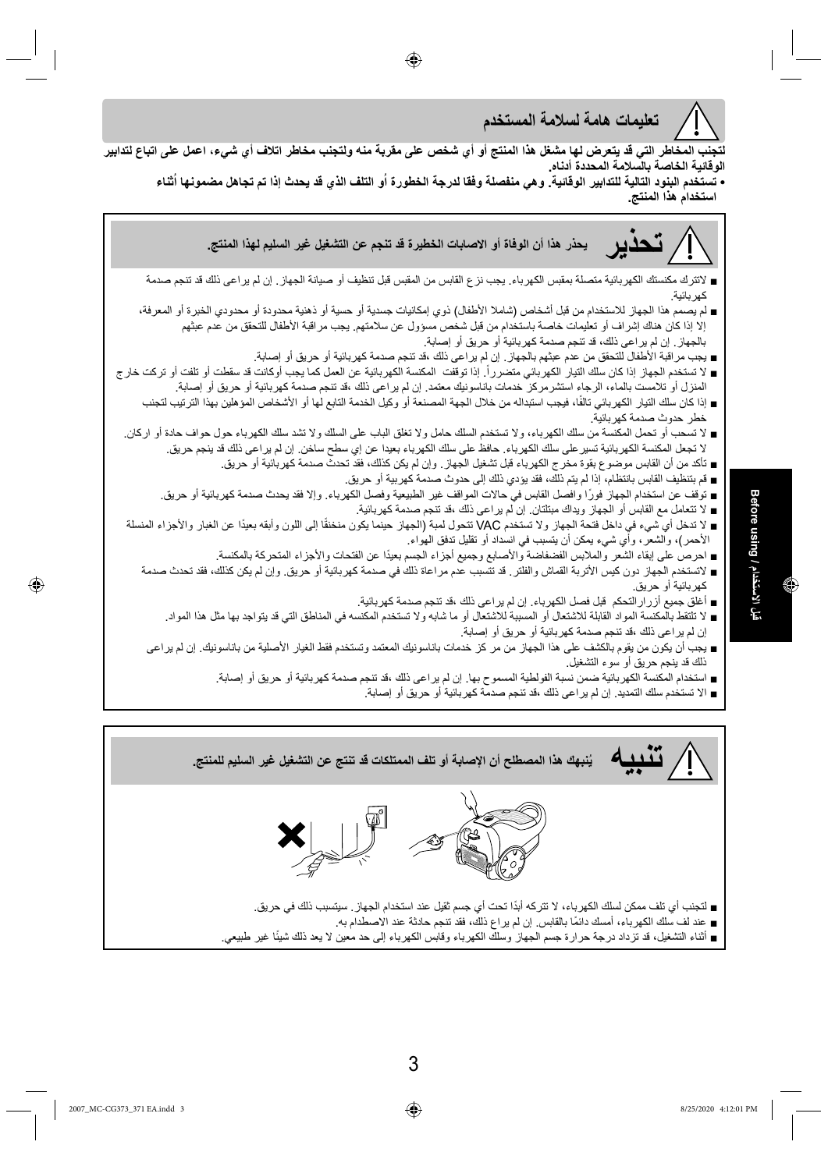الاستخدام / Sefore using **قبل الاستخدام / using Before**  $\mathbf{F}$ 



2007\_MC-CG373\_371 EA.indd 3 8/25/2020 4:12:01 PM /25/2020 4:12:01 PM /25/2020 4:12:01 PM /25/2020 4:12:01 PM /

◈

- - لتجنب أي تلف ممكن لسلك الكهرباء، لا تتركه أبدًا تحت أي جسم ثقيل عند استخدام الجهاز . سيتسبب ذلك في حريق.
		- عند لف سلك الكهرباء، أمسك دائمًا بالقابس. إن لم يراع ذلك، فقد تنجم حادثة عند الاصطدام به.
- أثناء التشغيل، قد تزداد درجة حرارة جسم الجهاز وسلك الكهرباء وقابس الكهرباء إلى حد معين لا يعد ذلك شيئًا غير طبيعي.
- 
- **تنبيه ُينبهك هذا المصطلح أن الإصابة أو تلف الممتلكات قد تنتج عن التشغيل غير السليم للمنتج.**
- ذلك قد ينجم حريق أو سوء التشغيل. ■ استخدام المكنسة الكهربائية ضمن نسبة الفولطية المسموح بها. إن لم يراعى ذلك ،قد تنجم صدمة كهربائية أو حريق أو إصابة. ■ الا تستخدم سلك التمديد. إن لم يراعى ذلك ،قد تنجم صدمة كهربائية أو حريق أو إصابة.
- خطر حدوث صدمة كهربائية. ■ لا تسحب أو تحمل المكنسة من سلك الكهرباء، ولا تستخدم السلك حامل ولا تغلق الباب على السلك ولا تشد سلك الكهرباء حول حواف حادة أو اركان. لا تجعل المكنسة الكهربائية تسيرعلى سلك الكهرباء. حافظ على سلك الكهرباء بعيدا عن إي سطح ساخن. إن لم يراعى ذلك قد ينجم حريق. ■ تأكد من أن القابس موضوع بقوة مخرج الكهرباء قبل تشغيل الجهاز. وإن لم يكن كذلك، فقد تحدث صدمة كهربائية أو حريق.
- 
- إذا كان سلك التيار الكهربائي تالفًا، فيجب استبداله من خلال الجهة المصنعة أو وكيل الخدمة التابع لها أو الأشخاص المؤهلين بهذا الترتيب لتجنب
- المنزل أو تلامست بالماء، الرجاء استشرمركز خدمات باناسونيك معتمد. إن لم يراعى ذلك ،قد تنجم صدمة كهربائية أو حريق أو إصابة.
- 
- 

■ لا تستخدم الجهاز إذا كان سلك التيار الكهربائي متضرراً. إذا توقفت المكنسة الكهربائية عن العمل كما يجب أوكانت قد سقطت أو تلفت أو تركت خار ج

- قم بتنظيف القابس بانتظام، إذا لم يتم ذلك، فقد يؤدي ذلك إلى حدوث صدمة كهربية أو حريق.
- 
- توقف عن استخدام الجهاز فورًا وافصل القابس في حالات المواقف غير الطبيعية وفصل الكهرباء. وإلا فقد يحدث صدمة كهربائية أو حريق. ■ لا تتعامل مع القابس أو الجهاز ويداك مبتلتان. إن لم يراعى ذلك ،قد تنجم صدمة كهربائية.
- لا تدخل أي شيء في داخل فتحة الجهاز ولا تستخدم VAC تتحول لمبة (الجهاز حينما يكون منخنقًا إلى اللون وأبقه بعيدًا عن الغبار والأجزاء المنسلة
	-
	- احرص على إبقاء الشعر والملابس الفضفاضة والأصابع وجميع أجزاء الجسم بعيدًا عن الفتحات والأجزاء المتحركة بالمكنسة.
- 
- الأحمر)، والشعر، وأي شيء يمكن أن يتسبب في انسداد أو تقليل تدفق الهواء.

■ يجب مراقبة الأطفال للتحقق من عدم عبثهم بالجهاز. إن لم يراعى ذلك ،قد تنجم صدمة كهربائية أو حريق أو إصابة.

- 
- 
- 
- لاتستخدم الجهاز دون کيس الأتربة القماش والفلتر. قد تتسبب عدم مراعاة ذلك في صدمة كهربائية أو حريق. وإن لم يكن كذلك، فقد تحدث صدمة
	- أغلق جميع أزرارالتحكم قبل فصل الكهرباء. إن لم يراعى ذلك ،قد تنجم صدمة كهربائية.
	- كهربائية أو حريق.
	- -
		-
		-
		-
	- لا تلتقط بالمكنسة المواد القابلة للاشتعال أو المسببة للاشتعال أو ما شابه ولا تستخدم المكنسه في المناطق التي قد يتواجد بها مثل هذا المواد.
- 
- 
- 
- 



**الوقائية الخاصة بالسلامة المحددة أدناه.** 

**تعليمات هامة لسلامة المستخدم**

بالجهاز. إن لم يراعى ذلك، قد تنجم صدمة كهربائية أو حريق أو إصابة.

**استخدام هذا المنتج.**

كهربائية.



لتجنب المخاطر التي قد يتعرض لها مشغل هذا المنتج أو أي شخص على مقرية منه ولتجنب مخاطر اتلاف أي شيء، اعمل على اتباع لتدابير

⊕

**تحذير يحذر هذا أن الوفاة أو الاصابات الخطيرة قد تنجم عن التشغيل غير السليم لهذا المنتج.**

• تستخدم البنود التالية للتدابير الوقائية. وهي منفصلة وفقا لدرجة الخطورة أو التلف الذي قد يحدث إذا تم تجاهل مضمونها أثناء

■ لاتترك مكنستك الكهربائية متصلة بمقبس الكهرباء. يجب نزع القابس من المقبس قبل تنظيف أو صيانة الجهاز. إن لم يراعى ذلك قد تنجم صدمة

■ لم يصمم هذا الجهاز للاستخدام من قبل أشخاص (شاملا الأطفال) ذوي إمكانيات جسدية أو حسية أو ذهنية محدودة أو محدودي الخبرة أو المعرفة، إلا إذا كان هناك إشراف أو تعليمات خاصة باستخدام من قبل شخص مسؤول عن سلامتهم. يجب مراقبة الأطفال للتحقق من عدم عبثهم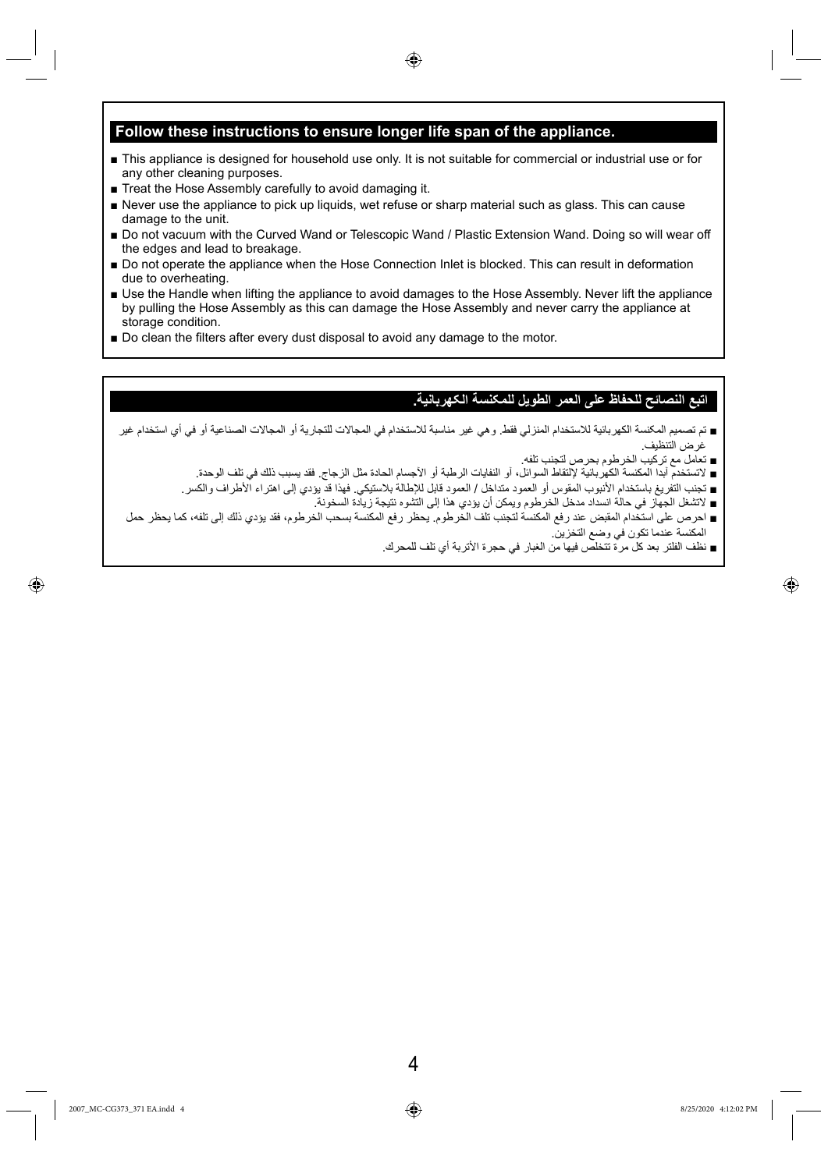#### **Follow these instructions to ensure longer life span of the appliance.**

**■** This appliance is designed for household use only. It is not suitable for commercial or industrial use or for any other cleaning purposes.

◈

- **■** Treat the Hose Assembly carefully to avoid damaging it.
- **■** Never use the appliance to pick up liquids, wet refuse or sharp material such as glass. This can cause damage to the unit.
- Do not vacuum with the Curved Wand or Telescopic Wand / Plastic Extension Wand. Doing so will wear off the edges and lead to breakage.
- **■** Do not operate the appliance when the Hose Connection Inlet is blocked. This can result in deformation due to overheating.
- **■** Use the Handle when lifting the appliance to avoid damages to the Hose Assembly. Never lift the appliance by pulling the Hose Assembly as this can damage the Hose Assembly and never carry the appliance at storage condition.
- Do clean the filters after every dust disposal to avoid any damage to the motor.

#### **اتبع النصائح للحفاظ على العمر الطويل للمکنسة الکهربانية.**

- تم تصميم المکنسة الكهربائية للاستخدام المنزلي فقط. وهي غير مناسبة للاستخدام في المجالات للتجارية أو المجالات الصناعية أو في أي استخدام غير غرض التنظيف.
	- تعامل مع تركيب الخرطوم بحرص لتجنب تلفه.
	- لاتستخدم آبدا المكنسة الكهربائية لإلتقاط السوائل، آو النفايات الرطبة أو الآجسام الحادة مثل الزجاج. فقد يسبب ذلك في تلف الوحدة.
	- تجنب التفريغ باستخدام الأنبوب المقوس أو العمود متداخل / العمود قابل للإطالة بلاستيكي. فهذا قد يؤدي إلى اهتراء الأطراف والكسر.
		- لاتشغل الجهاز في حالة انسداد مدخل الخرطوم ويمكن أن يؤدي هذا إلى التشوه نتيجة زيادة السخونة.
- احرص على استخدام المقبض عند رفع المكنسة لتجنب تلف الخرطوم. يحظر رفع المكنسة بسحب الخرطوم، فقد يؤدي ذلك إلى تلفه، كما يحظر حمل المكنسة عندما تكون في وضع التخزين.
	- نظف الفلتر بعد كل مرة تتخلص فيها من الغبار في حجرة الأتربة أي تلف للمحرك.

⊕

◈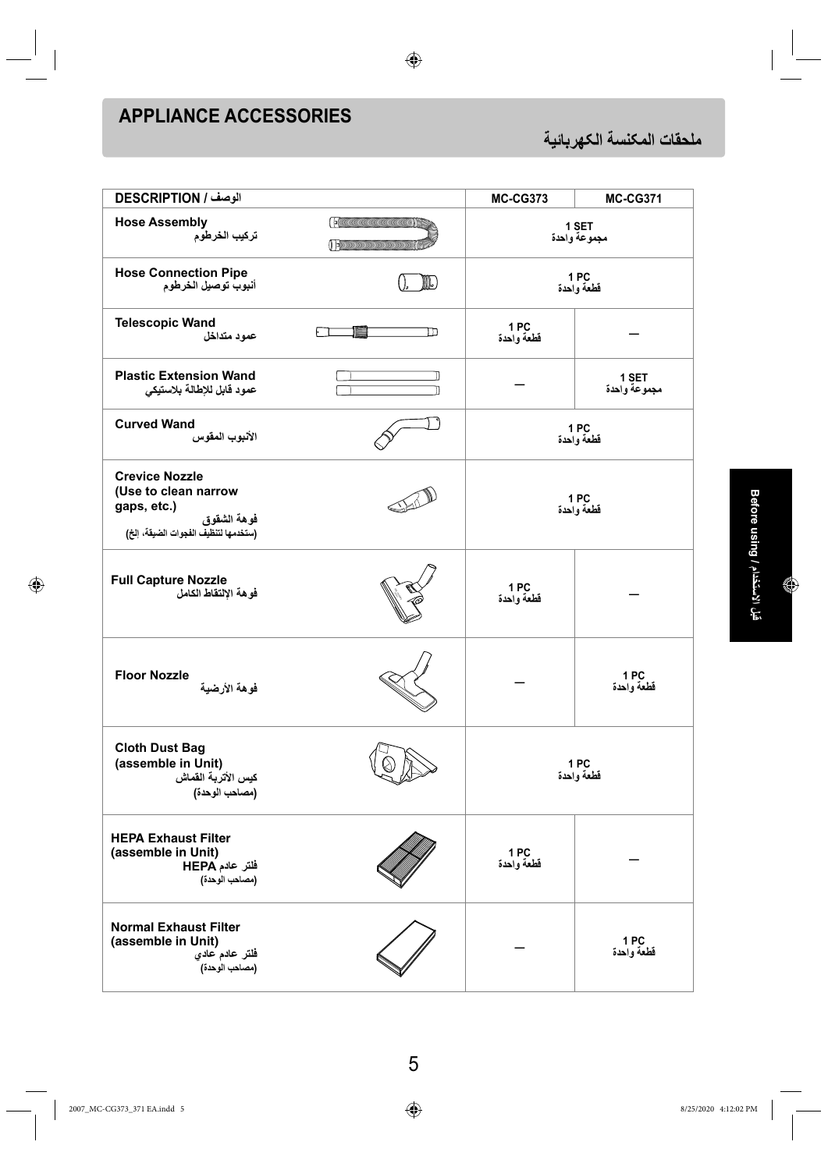# **APPLIANCE ACCESSORIES**

**ملحقات المکنسة الکهربائية**

| الوصف / DESCRIPTION                                                                                                 |                                                                | <b>MC-CG373</b>       | <b>MC-CG371</b>       |  |
|---------------------------------------------------------------------------------------------------------------------|----------------------------------------------------------------|-----------------------|-----------------------|--|
| <b>Hose Assembly</b><br>تركيب الخرطوم                                                                               | (FORMATION AND ANNOUNCED AND THE<br>O EXCOMUNICATION CONTINUES | 1 SET<br>مجموعة واحدة |                       |  |
| <b>Hose Connection Pipe</b><br>أنبوب توصيل الخرطوم                                                                  |                                                                | 1PC<br>قطعة واحدة     |                       |  |
| <b>Telescopic Wand</b><br>عمود متداخل                                                                               | F<br>תח                                                        | 1 PC<br>قطعة واحدة    |                       |  |
| <b>Plastic Extension Wand</b><br>عمود قابل للإطالة بلاستيكي                                                         |                                                                |                       | 1 SET<br>مجموعة واحدة |  |
| <b>Curved Wand</b><br>الأنبوب المقوس                                                                                |                                                                |                       | 1PC<br>قطعة واحدة     |  |
| <b>Crevice Nozzle</b><br>(Use to clean narrow<br>gaps, etc.)<br>فوهة الشقوق<br>(ستخدمها لتنظيف الفجوات الضيقة، إلخ) |                                                                |                       | 1PC<br>قطعة واحدة     |  |
| <b>Full Capture Nozzle</b><br>فوهة الإلتقاط الكامل                                                                  |                                                                | 1PC<br>قطعة واحدة     |                       |  |
| <b>Floor Nozzle</b><br>فوهة الأرضية                                                                                 |                                                                |                       | 1 PC<br>قطعة واحدة    |  |
| <b>Cloth Dust Bag</b><br>(assemble in Unit)<br>كيس الأتربة القماش<br>(مصاحب الوحدة)                                 |                                                                |                       | 1PC<br>قطعة واحدة     |  |
| <b>HEPA Exhaust Filter</b><br>(assemble in Unit)<br>فلتر عادم HEPA<br>(مصاحب الوحدة)                                |                                                                | 1PC<br>قطعة واحدة     |                       |  |
| <b>Normal Exhaust Filter</b><br>(assemble in Unit)<br>فلتر عادم عادي<br>(مصاحب الوحدة)                              |                                                                |                       | 1 PC<br>قطعة واحدة    |  |

 $\bigoplus$ 

شِل الاستخدام / Microsoft<br>قبل الاستخدام / Microsoft **قبل الاستخدام / using Before**

 $\bigoplus$ 

 $\begin{array}{c} \begin{array}{c} \end{array} \end{array}$ 

 $\overline{\phantom{0}}$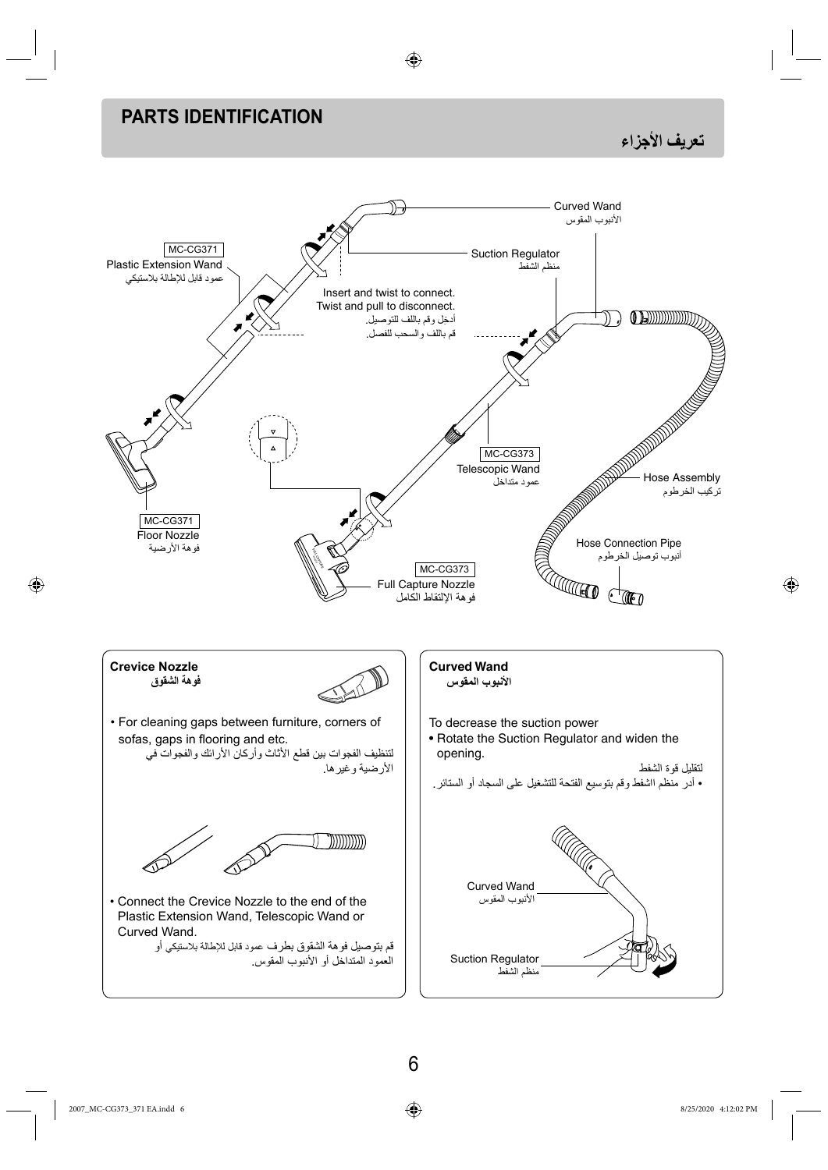### **PARTS IDENTIFICATION**

**تعريف الأجزاء**



⊕

⊕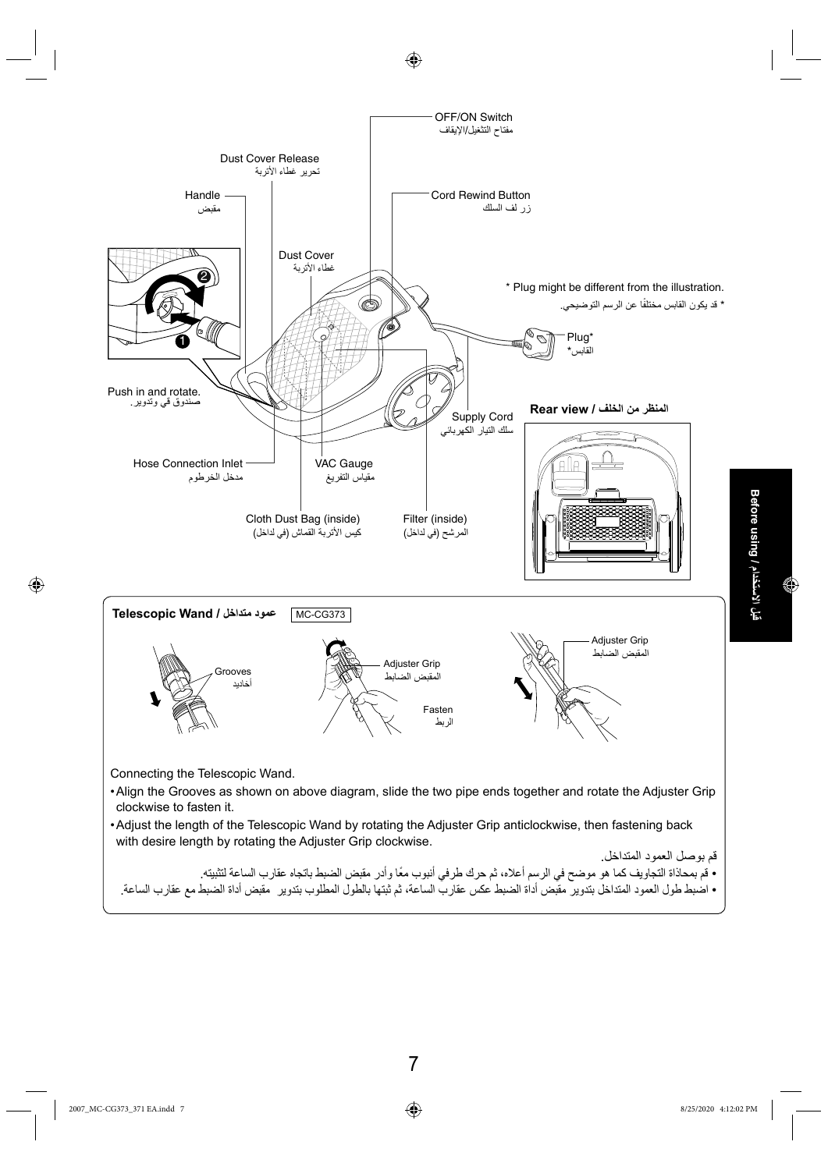

 $\bigoplus$ 

⊕

⊕

7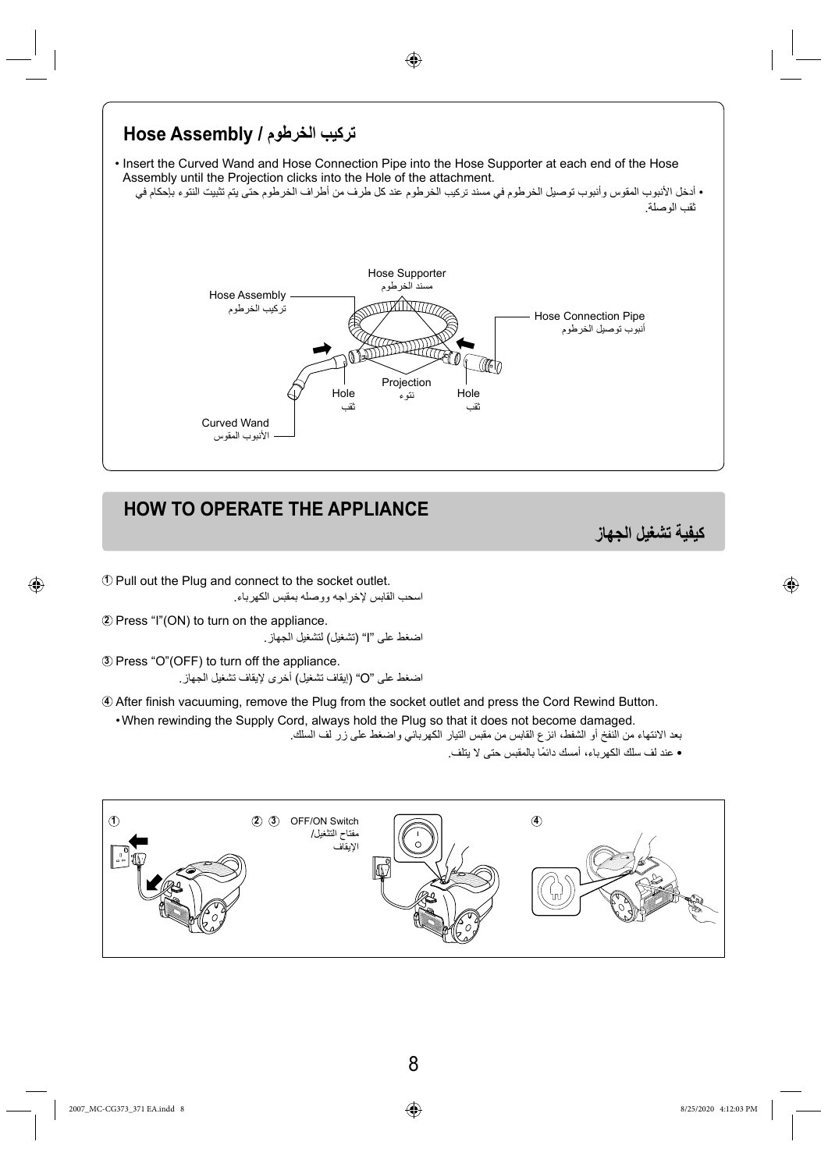

◈

# **HOW TO OPERATE THE APPLIANCE**

**كيفية تشغيل الجهاز**

⊕

**<sup>1</sup>** Pull out the Plug and connect to the socket outlet. اسحب القابس لإخراجه ووصله بمقبس الكهرباء.

**<sup>2</sup>** Press "I"(ON) to turn on the appliance. اضغط على "I) "تشغيل) لتشغيل الجهاز.

**<sup>3</sup>** Press "O"(OFF) to turn off the appliance. اضغط على "O) "إيقاف تشغيل) أخرى لإيقاف تشغيل الجهاز.

4 After finish vacuuming, remove the Plug from the socket outlet and press the Cord Rewind Button.

• When rewinding the Supply Cord, always hold the Plug so that it does not become damaged.

بعد الانتهاء من النفخ أو الشفط، انزع القابس من مقبس التيار الكهربائي واضغط على زر لف السلك. • عند لف سلك الكهرباء، أمسك ً دائما بالمقبس حتى لا يتلف.

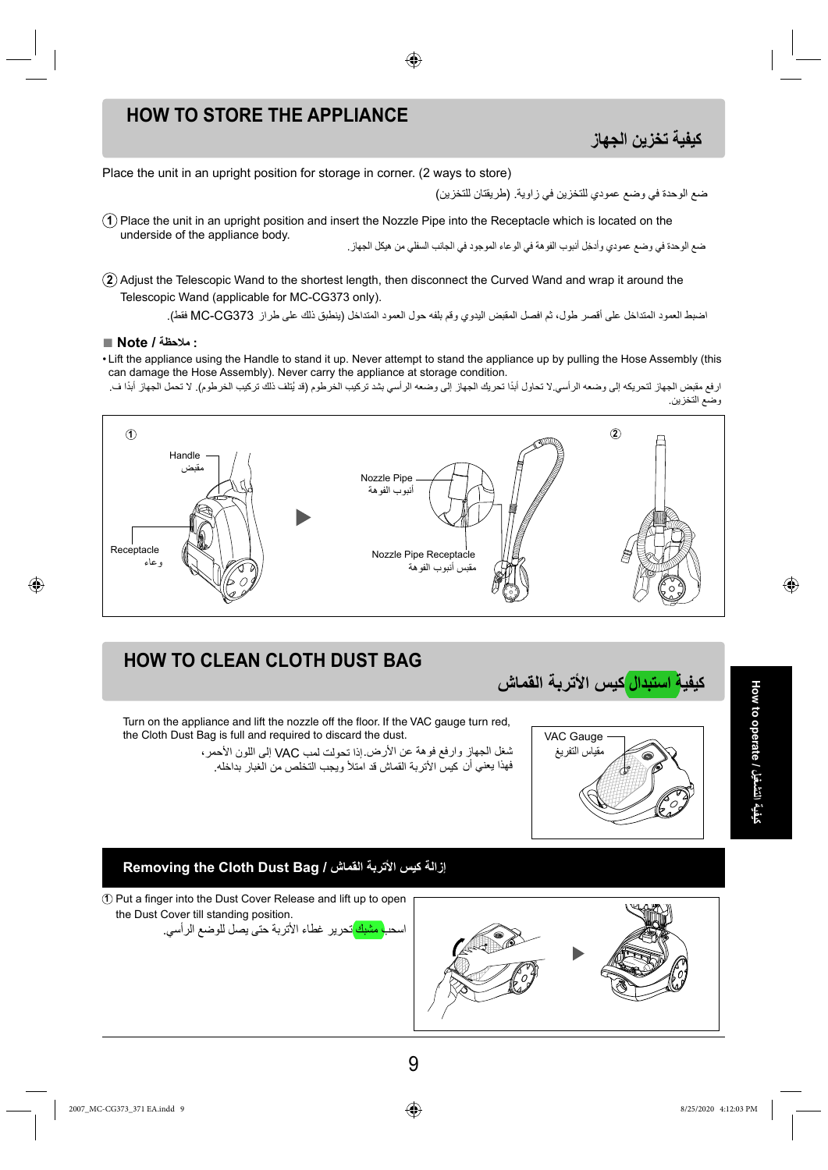### **HOW TO STORE THE APPLIANCE**

### **كيفية تخزين الجهاز**

Place the unit in an upright position for storage in corner. (2 ways to store)

ضع الوحدة في وضع عمودي للتخزين في زاوية. (طريقتان للتخزين)

**1** Place the unit in an upright position and insert the Nozzle Pipe into the Receptacle which is located on the ضع الوحدة في وضع عمودي وأدخِل أنبوب الفوهة في الوعاء الموجود في الجانب السفلي من هيكل الجهاز .

◈

**2** Adjust the Telescopic Wand to the shortest length, then disconnect the Curved Wand and wrap it around the Telescopic Wand (applicable for MC-CG373 only).

اضبط العمود المتداخل على أقصر طول، ثم افصل المقبض اليدوي وقم بلفه حول العمود المتداخل (ينطبق ذلك على طراز 373CG-MC فقط).

#### **: ملاحظة / Note■**

⊕

- Lift the appliance using the Handle to stand it up. Never attempt to stand the appliance up by pulling the Hose Assembly (this can damage the Hose Assembly). Never carry the appliance at storage condition.
- ارفع مقبض الجهاز لتحريكه إلى وضعه الرأسي.لا تحاول أبدًا تحريك الجهاز إلى وضعه الرأسي بشد تركيب الخرطوب الخرطوم للا تحمل الجهاز أبدًا ف. وضع التخزين.



# **HOW TO CLEAN CLOTH DUST BAG**

the Cloth Dust Bag is full and required to discard the dust.



**How to operate / التشغيل کيفية** ◈

**Removing the Cloth Dust Bag / القماش الأتربة کيس إزالة**

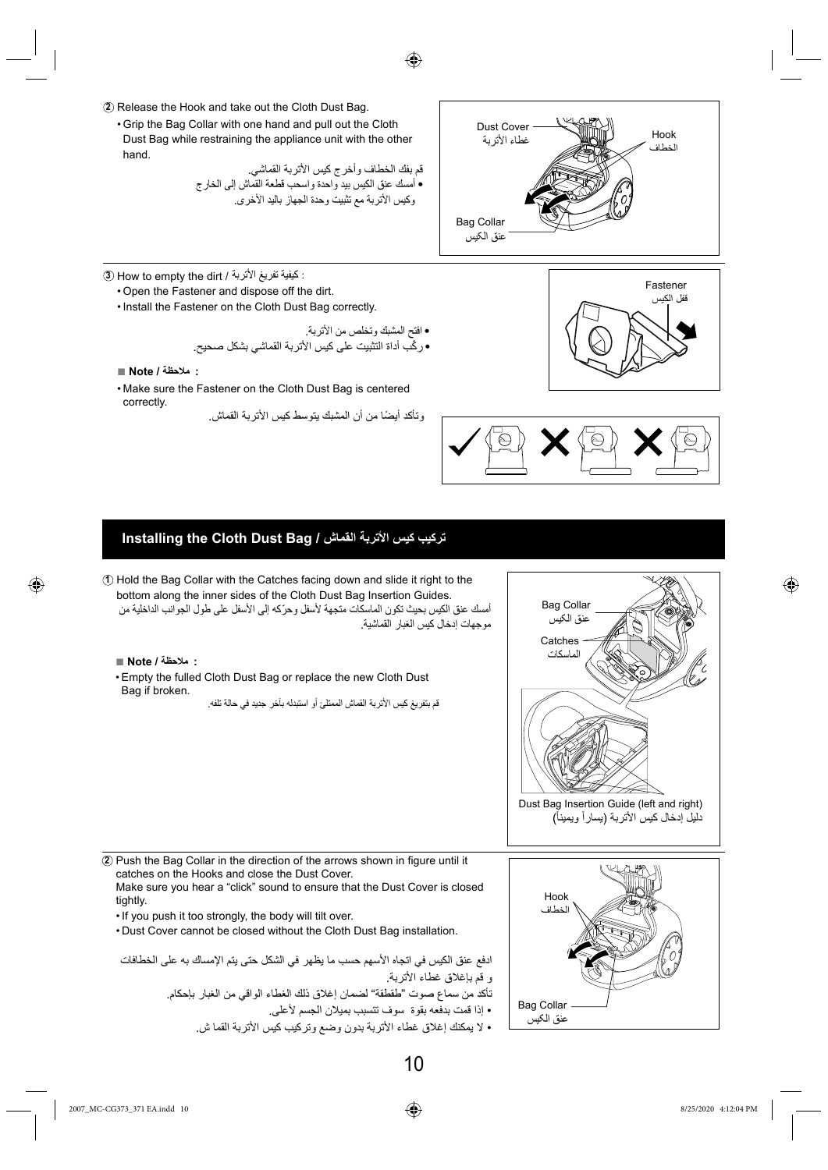



• Grip the Bag Collar with one hand and pull out the Cloth Dust Bag while restraining the appliance unit with the other hand.

> قم بفك الخطاف وأخرج كيس الأتربة القماشي. • أمسك عنق الكيس بيد واحدة واسحب قطعة القماش إلى الخارج وكيس الأتربة مع تثبيت وحدة الجهاز باليد الأخرى.

Bag Collar عنق الکيس Dust Cover غطاء الأتربة Hook الخطاف

- **<sup>3</sup>** How to empty the dirt / الأتربة تفريغ كيفية :
	- Open the Fastener and dispose off the dirt.
	- Install the Fastener on the Cloth Dust Bag correctly.

• افتح المشبك وتخلص من الأتربة. • ّركب أداة التثبيت على كيس الأتربة القماشي بشكل صحيح.

- **: ملاحظة / Note■**
- Make sure the Fastener on the Cloth Dust Bag is centered correctly.
	- وتأكد ً أيضا من أن المشبك يتوسط كيس الأتربة القماش.





### **Installing the Cloth Dust Bag / القماش الأتربة کيس تركيب**

**1** Hold the Bag Collar with the Catches facing down and slide it right to the bottom along the inner sides of the Cloth Dust Bag Insertion Guides. أمسك عنق الكيس بحيث تكون الماسكات متجهة لأسفل وحرّكه إلى الأسفل على طول الجوانب الداخلية من موجهات إدخال كيس الغبار القماشية.

**: ملاحظة / Note■**

⊕

• Empty the fulled Cloth Dust Bag or replace the new Cloth Dust Bag if broken.

قم بتفريغ كيس الأتربة القماش الممتلئ أو استبدله بآخر جديد في حالة تلفه.





**2** Push the Bag Collar in the direction of the arrows shown in figure until it catches on the Hooks and close the Dust Cover. Make sure you hear a "click" sound to ensure that the Dust Cover is closed tightly.

- If you push it too strongly, the body will tilt over.
- Dust Cover cannot be closed without the Cloth Dust Bag installation.

ادفع عنق الكيس في اتجاه الأسهم حسب ما يظهر في الشكل حتى يتم الإمساك به على الخطافات و قم بإغلاق غطاء الأتربة.

- تأكد من سماع صوت "طقطقة" لضمان إغلاق ذلك الغطاء الواقي من الغبار بإحكام.
	- إذا قمت بدفعه بقوة سوف تتسبب بميلان الجسم لأعلى.
	- لا يمكنك إغلاق غطاء الأتربة بدون وضع وتركيب كيس الأتربة القما ش.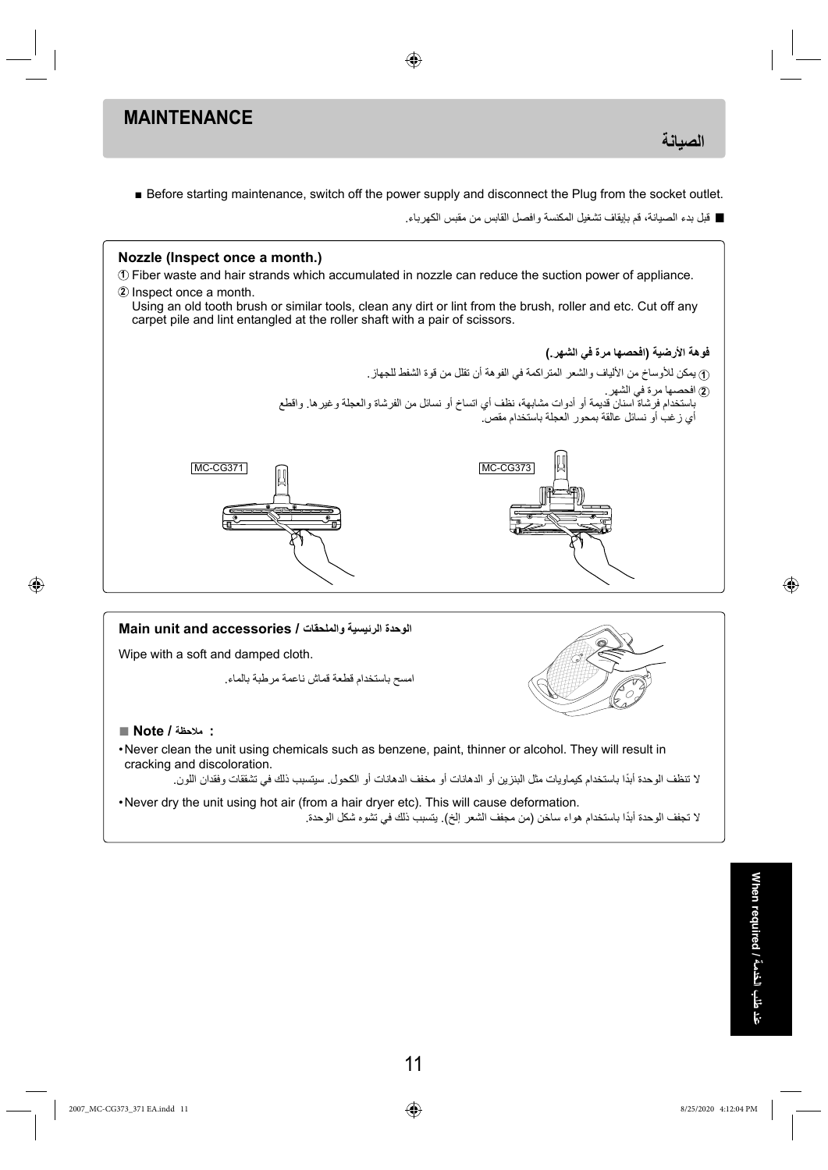### **MAINTENANCE**

**الصيانة**

■ Before starting maintenance, switch off the power supply and disconnect the Plug from the socket outlet.

⊕

**■** قبل بدء الصيانة، قم بإيقاف تشغيل المكنسة وافصل القابس من مقبس الكهرباء.



لا تنظف الوحدة ً أبدا باستخدام كيماويات مثل البنزين أو الدهانات أو مخفف الدهانات أو الكحول. سيتسبب ذلك في تشققات وفقدان اللون.

• Never dry the unit using hot air (from a hair dryer etc). This will cause deformation. لا تجفف الوحدة ً أبدا باستخدام هواء ساخن (من مجفف الشعر إلخ). يتسبب ذلك في تشوه شكل الوحدة. ◈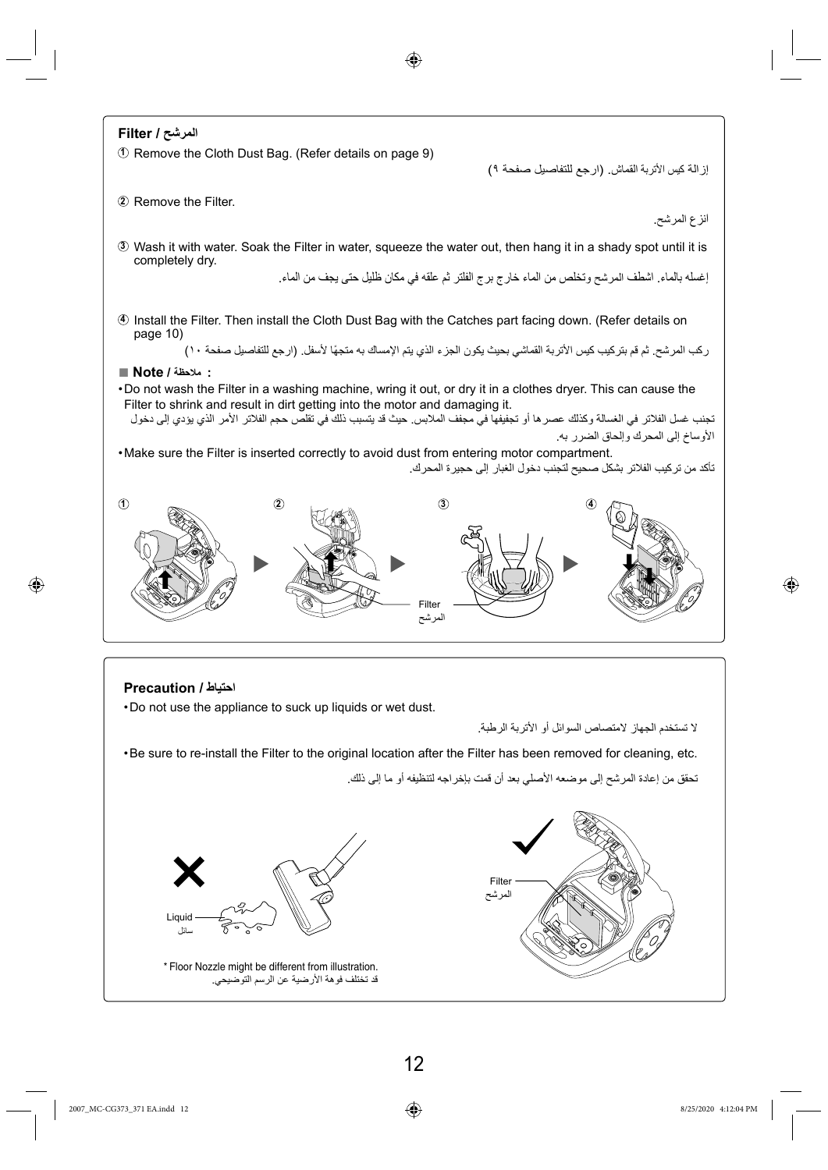

⊕

◈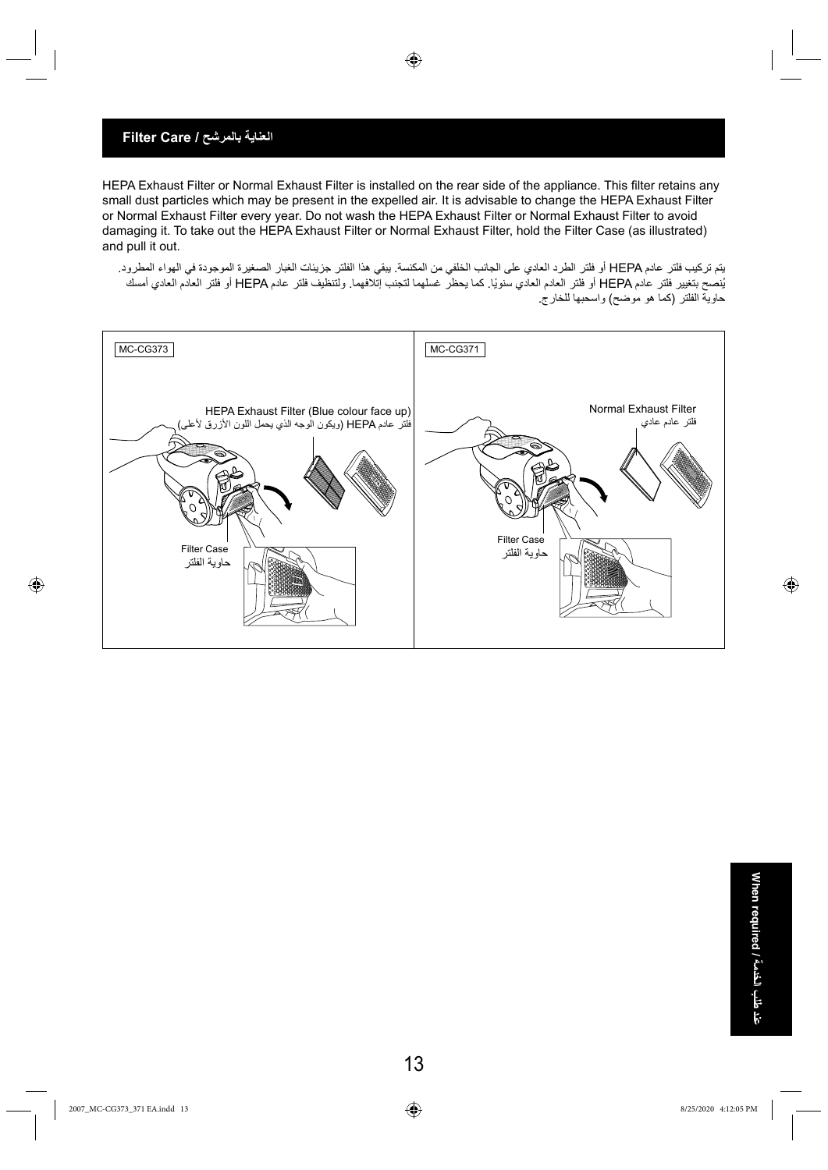### **العناية بالمرشح / Care Filter**

HEPA Exhaust Filter or Normal Exhaust Filter is installed on the rear side of the appliance. This filter retains any small dust particles which may be present in the expelled air. It is advisable to change the HEPA Exhaust Filter or Normal Exhaust Filter every year. Do not wash the HEPA Exhaust Filter or Normal Exhaust Filter to avoid damaging it. To take out the HEPA Exhaust Filter or Normal Exhaust Filter, hold the Filter Case (as illustrated) and pull it out.

◈

يتم تركيب فلتر عادم HEPA أو فلتر الطرد العادي على الجانب الخلفي من المكنسة. يبقي هذا الفلتر جزيئات الغبار الصغيرة الموجودة في الهواء المطرود. ُينصح بتغيير فلتر عادم HEPA أو فلتر العادم العادي ً سنويا. كما يحظر غسلهما لتجنب إتلافهما. ولتنظيف فلتر عادم HEPA أو فلتر العادم العادي أمسك حاوية الفلتر (كما هو موضح) واسحبها للخارج.



⊕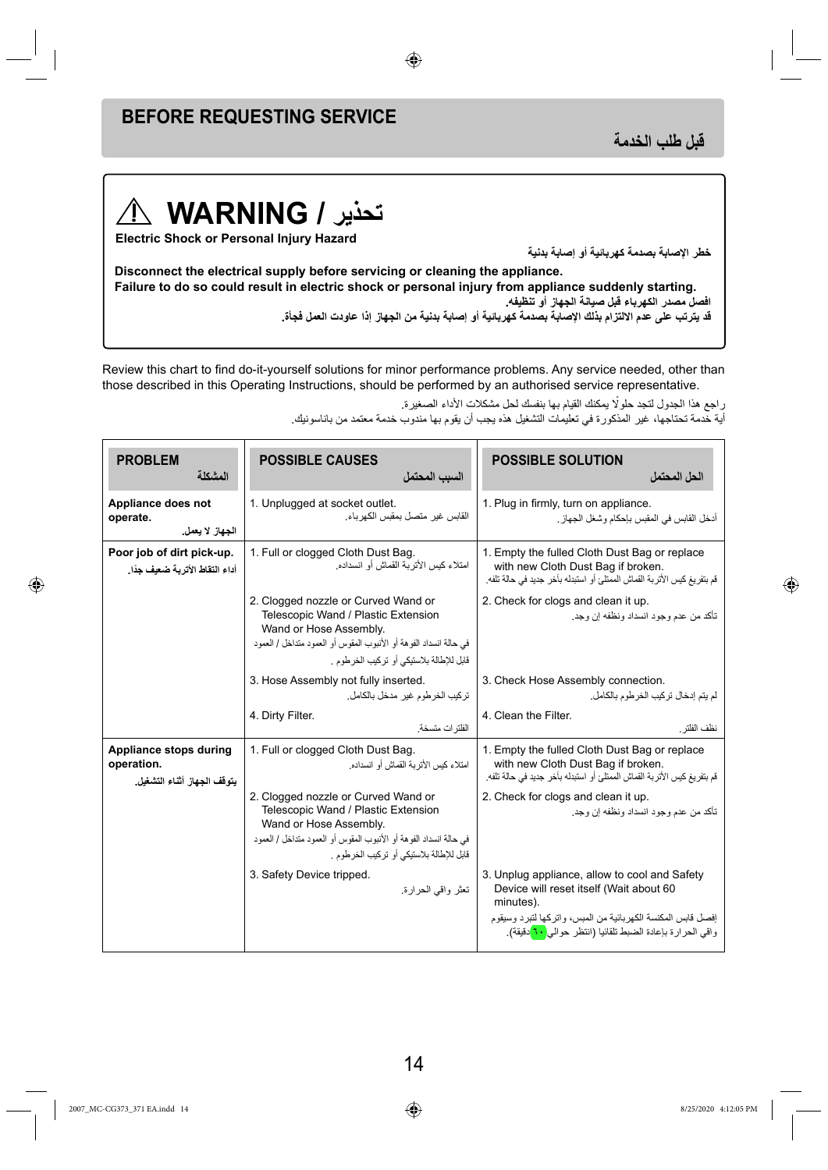# **BEFORE REQUESTING SERVICE**

**قبل طلب الخدمة**

### **تحذير / WARNING**  $\bigwedge$

**Electric Shock or Personal Injury Hazard**

**خطر الإصابة بصدمة كهربائية أو إصابة بدنية**

**Disconnect the electrical supply before servicing or cleaning the appliance. Failure to do so could result in electric shock or personal injury from appliance suddenly starting. افصل مصدر الكهرباء قبل صيانة الجهاز أو تنظيفه.** قد يترتب على عدم الالتزام بذلك الإصابة بصدمة كهربائية أو إصابة بدنية من الجهاز إذا عاودت العمل فجأة.

◈

Review this chart to find do-it-yourself solutions for minor performance problems. Any service needed, other than those described in this Operating Instructions, should be performed by an authorised service representative.

راجع هذا الجدول لتجد حلولًا يمكنك القيام بها بنفسك لحل مشكلات الأداء الصغيرة.

أية خدمة تحتاجها، غير المذكورة في تعليمات التشغيل هذه يجب أن يقوم بها مندوب خدمة معتمد من باناسونيك.

| <b>PROBLEM</b><br>المشكلة                                           | <b>POSSIBLE CAUSES</b><br>السبب المحتمل                                                                                                                                                                                | <b>POSSIBLE SOLUTION</b><br>الحل المحتمل                                                                                                                                                                                                        |
|---------------------------------------------------------------------|------------------------------------------------------------------------------------------------------------------------------------------------------------------------------------------------------------------------|-------------------------------------------------------------------------------------------------------------------------------------------------------------------------------------------------------------------------------------------------|
| Appliance does not<br>operate.<br>الجهاز لا يعمل                    | 1. Unplugged at socket outlet.<br>القابس غير متصل بمقبس الكهرباء.                                                                                                                                                      | 1. Plug in firmly, turn on appliance.<br>أدخل القابس في المقبس بإحكام و شغل الجهاز .                                                                                                                                                            |
| Poor job of dirt pick-up.<br>أداء التقاط الأتربة ضعيف جدًا.         | 1. Full or clogged Cloth Dust Bag.<br>امتلاء كيس الأتر بة القماش أو انسداده.                                                                                                                                           | 1. Empty the fulled Cloth Dust Bag or replace<br>with new Cloth Dust Bag if broken.<br>قم بنفريغ كيس الأتربة القماش الممتلئ أو استبدله بأخر جديد في حالة تلفه.                                                                                  |
|                                                                     | 2. Clogged nozzle or Curved Wand or<br>Telescopic Wand / Plastic Extension<br>Wand or Hose Assembly.<br>في حالة انسداد الفو هة أو الأنبوب المقوس أو العمود متداخل / العمود<br>قابل للإطالة بلاستيكي أو تركيب الخرطوم . | 2. Check for clogs and clean it up.<br>تأكد من عدم و جو د انسداد و نظفه اِن و جد ِ                                                                                                                                                              |
|                                                                     | 3. Hose Assembly not fully inserted.<br>تركيب الخرطوم غير مدخل بالكامل.                                                                                                                                                | 3. Check Hose Assembly connection.<br>لم يتم إدخال تر كيب الخر طوم بالكامل.                                                                                                                                                                     |
|                                                                     | 4. Dirty Filter.<br>الفلتر ات متسخة.                                                                                                                                                                                   | 4. Clean the Filter.<br>نظف الفلتر                                                                                                                                                                                                              |
| Appliance stops during<br>operation.<br>يتوقف الجهاز أثناء التشغيل. | 1. Full or clogged Cloth Dust Bag.<br>امتلاء كيس الأتر بة القماش أو انسداده.                                                                                                                                           | 1. Empty the fulled Cloth Dust Bag or replace<br>with new Cloth Dust Bag if broken.<br>قم بتفريغ كيس الأتربة القماش الممتلئ أو استبدله بأخر جديد في حالة تلفه.                                                                                  |
|                                                                     | 2. Clogged nozzle or Curved Wand or<br>Telescopic Wand / Plastic Extension<br>Wand or Hose Assembly.<br>في حالة انسداد الفو هة أو الأنبوب المقوس أو العمود متداخل / العمود<br>قابل للإطالة بلاستيكي أو تركيب الخرطوم . | 2. Check for clogs and clean it up.<br>تأكد من عدم وجود انسداد ونظفه إن وجد.                                                                                                                                                                    |
|                                                                     | 3. Safety Device tripped.<br>تعثر واقى الحرارة.                                                                                                                                                                        | 3. Unplug appliance, allow to cool and Safety<br>Device will reset itself (Wait about 60<br>minutes).<br>إفصل قابس المكنسة الكهربائية من المبس، واتركها لتبرد وسيقوم<br>واقي الحرارة بإعادة الضبط تلقائيا (انتظر حوالي <mark> ٦٠</mark> دقيقة). |

⊕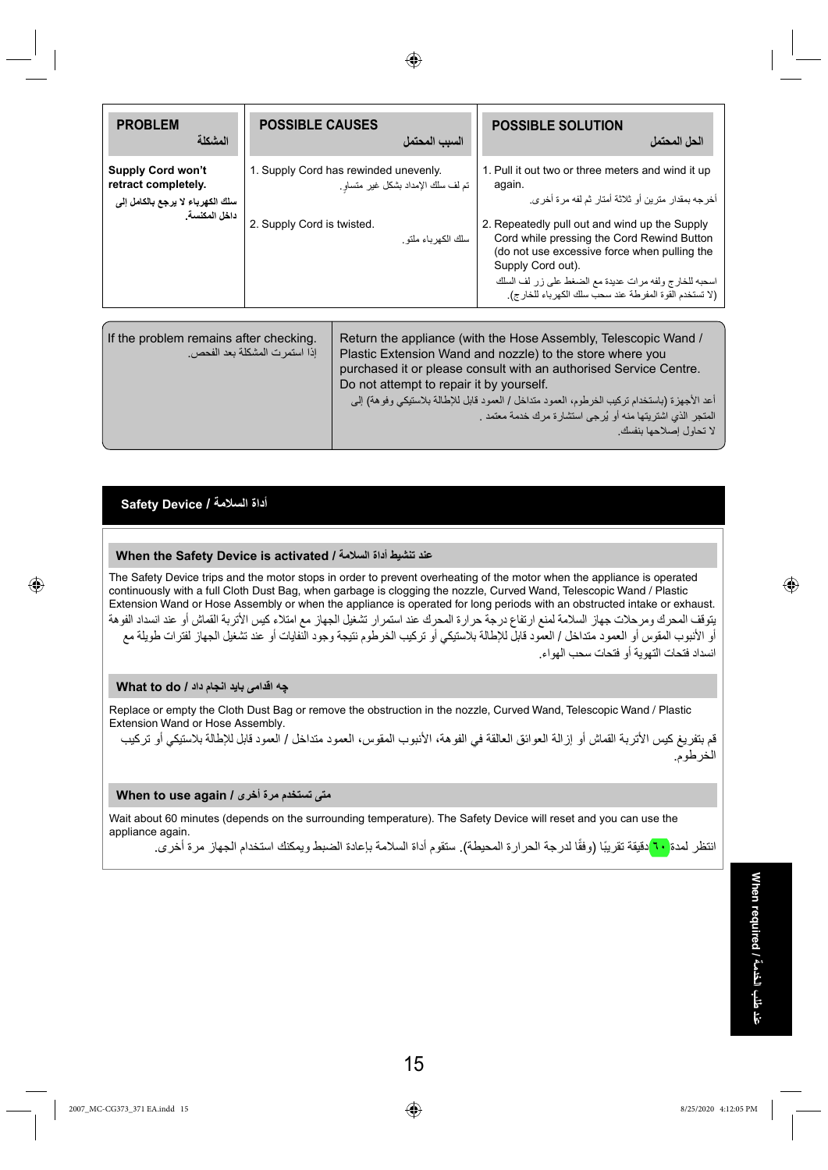

| <b>PROBLEM</b><br>المشكلة                                                                            | <b>POSSIBLE CAUSES</b>                                              | السبب المحتمل                                            | <b>POSSIBLE SOLUTION</b>                                                                                                                                                                                                                                                                                                                                                                                        | الحل المحتمل              |
|------------------------------------------------------------------------------------------------------|---------------------------------------------------------------------|----------------------------------------------------------|-----------------------------------------------------------------------------------------------------------------------------------------------------------------------------------------------------------------------------------------------------------------------------------------------------------------------------------------------------------------------------------------------------------------|---------------------------|
| <b>Supply Cord won't</b><br>retract completely.<br>سلك الكهرباء لا يرجع بالكامل إلى<br>داخل المكنسة. | 1. Supply Cord has rewinded unevenly.<br>2. Supply Cord is twisted. | تم لف سلك الإمداد بشكل غير متساو<br>سلك الكهر باء ملتو . | 1. Pull it out two or three meters and wind it up<br>again.<br>أخر جه بمقدار  متر بن أو  ثلاثة أمتار  ثم لفه مر ة أخر ي<br>2. Repeatedly pull out and wind up the Supply<br>Cord while pressing the Cord Rewind Button<br>(do not use excessive force when pulling the<br>Supply Cord out).<br>اسحبه للخارج ولفه مرات عديدة مع الضغط على زر لف السلك<br>(لا تستخدم القوة المفرطة عند سحب سلك الكهرباء للخار ج). |                           |
| If the problem remains after checking.                                                               | إذا استمر ت المشكلة بعد الفحص.                                      | Do not attempt to repair it by yourself.                 | Return the appliance (with the Hose Assembly, Telescopic Wand /<br>Plastic Extension Wand and nozzle) to the store where you<br>purchased it or please consult with an authorised Service Centre.<br>أعد الأجهزة (باستخدام تركيب الخرطوم، العمود متداخل / العمود قابل للإطالة بلاستيكي وفوهة) إلى<br>المتجر الذي اشتريتها منه أو يُرجى استشارة مرك خدمة معتمد                                                   | لا تحاو ل إصلاحها بنفسك ِ |

### **أداة السلامة / Device Safety**

⊕

#### **When the Safety Device is activated / السلامة أداة تنشيط عند**

The Safety Device trips and the motor stops in order to prevent overheating of the motor when the appliance is operated continuously with a full Cloth Dust Bag, when garbage is clogging the nozzle, Curved Wand, Telescopic Wand / Plastic Extension Wand or Hose Assembly or when the appliance is operated for long periods with an obstructed intake or exhaust. يتوقف المحرك ومرحلات جهاز السلامة لمنع ارتفاع درجة حرارة المحرك عند استمرار تشغيل الجهاز مع امتلاء كيس الأتربة القماش أو عند انسداد الفوهة أو الأنبوب المقوس أو العمود متداخل / العمود قابل للإطالة بلاستيكي أو تركيب الخرطوم نتيجة وجود النفايات أو عند تشغيل الجهاز لفترات طويلة مع انسداد فتحات التهوية أو فتحات سحب الهواء.

#### **چه اقدامی بايد انجام داد / do to What**

Replace or empty the Cloth Dust Bag or remove the obstruction in the nozzle, Curved Wand, Telescopic Wand / Plastic Extension Wand or Hose Assembly.

قم بتفريغ كيس الأتربة القماش أو إزالة العوائق العالقة في الفوهة، الأنبوب المقوس، العمود متداخل / العمود قابل للإطالة بلاستيكي أو تركيب الخرطوم.

#### **متى تستخدم مرة أخرى / again use to When**

Wait about 60 minutes (depends on the surrounding temperature). The Safety Device will reset and you can use the appliance again.

انتظر لمدة <mark>٦٠</mark> دقيقة تقريبًا (وفقًا لدرجة الحرارة المحيطة)<sub>.</sub> ستقوم أداة السلامة بإعادة الضبط ويمكنك استخدام الجهاز مرة أخرى.

◈